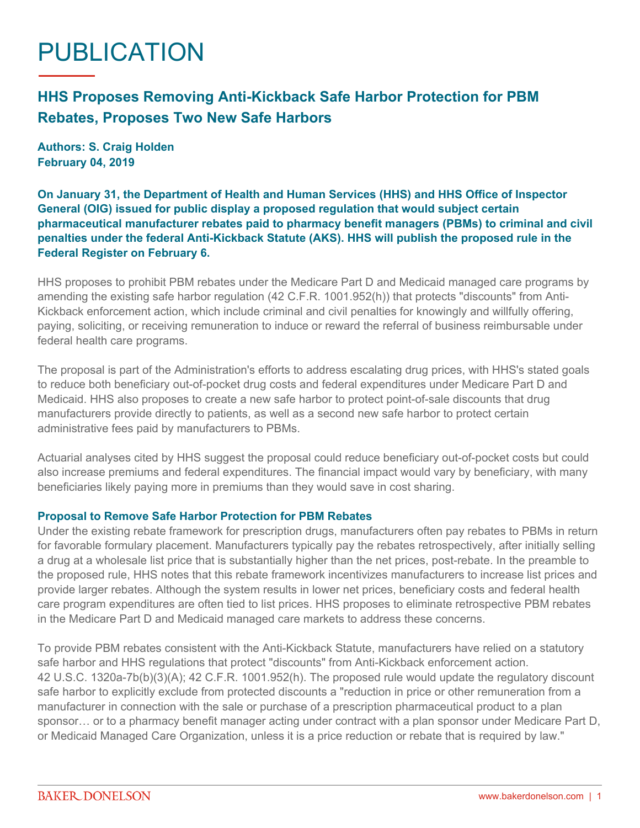# PUBLICATION

# **HHS Proposes Removing Anti-Kickback Safe Harbor Protection for PBM Rebates, Proposes Two New Safe Harbors**

**Authors: S. Craig Holden February 04, 2019**

**On January 31, the Department of Health and Human Services (HHS) and HHS Office of Inspector General (OIG) issued for public display a proposed regulation that would subject certain pharmaceutical manufacturer rebates paid to pharmacy benefit managers (PBMs) to criminal and civil penalties under the federal Anti-Kickback Statute (AKS). HHS will publish the [proposed rule](https://www.federalregister.gov/documents/2019/02/06/2019-01026/fraud-and-abuse-removal-of-safe-harbor-protection-for-rebates-involving-prescription-pharmaceuticals) in the Federal Register on February 6.**

HHS proposes to prohibit PBM rebates under the Medicare Part D and Medicaid managed care programs by amending the existing safe harbor regulation (42 C.F.R. 1001.952(h)) that protects "discounts" from Anti-Kickback enforcement action, which include criminal and civil penalties for knowingly and willfully offering, paying, soliciting, or receiving remuneration to induce or reward the referral of business reimbursable under federal health care programs.

The proposal is part of the Administration's efforts to address escalating drug prices, with HHS's stated goals to reduce both beneficiary out-of-pocket drug costs and federal expenditures under Medicare Part D and Medicaid. HHS also proposes to create a new safe harbor to protect point-of-sale discounts that drug manufacturers provide directly to patients, as well as a second new safe harbor to protect certain administrative fees paid by manufacturers to PBMs.

Actuarial analyses cited by HHS suggest the proposal could reduce beneficiary out-of-pocket costs but could also increase premiums and federal expenditures. The financial impact would vary by beneficiary, with many beneficiaries likely paying more in premiums than they would save in cost sharing.

#### **Proposal to Remove Safe Harbor Protection for PBM Rebates**

Under the existing rebate framework for prescription drugs, manufacturers often pay rebates to PBMs in return for favorable formulary placement. Manufacturers typically pay the rebates retrospectively, after initially selling a drug at a wholesale list price that is substantially higher than the net prices, post-rebate. In the preamble to the proposed rule, HHS notes that this rebate framework incentivizes manufacturers to increase list prices and provide larger rebates. Although the system results in lower net prices, beneficiary costs and federal health care program expenditures are often tied to list prices. HHS proposes to eliminate retrospective PBM rebates in the Medicare Part D and Medicaid managed care markets to address these concerns.

To provide PBM rebates consistent with the Anti-Kickback Statute, manufacturers have relied on a statutory safe harbor and HHS regulations that protect "discounts" from Anti-Kickback enforcement action. 42 U.S.C. 1320a-7b(b)(3)(A); 42 C.F.R. 1001.952(h). The proposed rule would update the regulatory discount safe harbor to explicitly exclude from protected discounts a "reduction in price or other remuneration from a manufacturer in connection with the sale or purchase of a prescription pharmaceutical product to a plan sponsor… or to a pharmacy benefit manager acting under contract with a plan sponsor under Medicare Part D, or Medicaid Managed Care Organization, unless it is a price reduction or rebate that is required by law."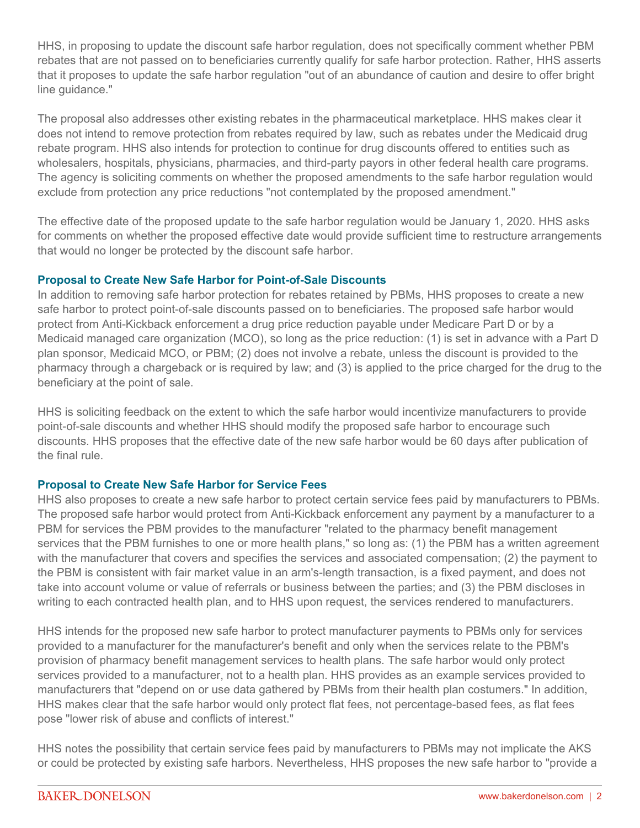HHS, in proposing to update the discount safe harbor regulation, does not specifically comment whether PBM rebates that are not passed on to beneficiaries currently qualify for safe harbor protection. Rather, HHS asserts that it proposes to update the safe harbor regulation "out of an abundance of caution and desire to offer bright line guidance."

The proposal also addresses other existing rebates in the pharmaceutical marketplace. HHS makes clear it does not intend to remove protection from rebates required by law, such as rebates under the Medicaid drug rebate program. HHS also intends for protection to continue for drug discounts offered to entities such as wholesalers, hospitals, physicians, pharmacies, and third-party payors in other federal health care programs. The agency is soliciting comments on whether the proposed amendments to the safe harbor regulation would exclude from protection any price reductions "not contemplated by the proposed amendment."

The effective date of the proposed update to the safe harbor regulation would be January 1, 2020. HHS asks for comments on whether the proposed effective date would provide sufficient time to restructure arrangements that would no longer be protected by the discount safe harbor.

### **Proposal to Create New Safe Harbor for Point-of-Sale Discounts**

In addition to removing safe harbor protection for rebates retained by PBMs, HHS proposes to create a new safe harbor to protect point-of-sale discounts passed on to beneficiaries. The proposed safe harbor would protect from Anti-Kickback enforcement a drug price reduction payable under Medicare Part D or by a Medicaid managed care organization (MCO), so long as the price reduction: (1) is set in advance with a Part D plan sponsor, Medicaid MCO, or PBM; (2) does not involve a rebate, unless the discount is provided to the pharmacy through a chargeback or is required by law; and (3) is applied to the price charged for the drug to the beneficiary at the point of sale.

HHS is soliciting feedback on the extent to which the safe harbor would incentivize manufacturers to provide point-of-sale discounts and whether HHS should modify the proposed safe harbor to encourage such discounts. HHS proposes that the effective date of the new safe harbor would be 60 days after publication of the final rule.

## **Proposal to Create New Safe Harbor for Service Fees**

HHS also proposes to create a new safe harbor to protect certain service fees paid by manufacturers to PBMs. The proposed safe harbor would protect from Anti-Kickback enforcement any payment by a manufacturer to a PBM for services the PBM provides to the manufacturer "related to the pharmacy benefit management services that the PBM furnishes to one or more health plans," so long as: (1) the PBM has a written agreement with the manufacturer that covers and specifies the services and associated compensation; (2) the payment to the PBM is consistent with fair market value in an arm's-length transaction, is a fixed payment, and does not take into account volume or value of referrals or business between the parties; and (3) the PBM discloses in writing to each contracted health plan, and to HHS upon request, the services rendered to manufacturers.

HHS intends for the proposed new safe harbor to protect manufacturer payments to PBMs only for services provided to a manufacturer for the manufacturer's benefit and only when the services relate to the PBM's provision of pharmacy benefit management services to health plans. The safe harbor would only protect services provided to a manufacturer, not to a health plan. HHS provides as an example services provided to manufacturers that "depend on or use data gathered by PBMs from their health plan costumers." In addition, HHS makes clear that the safe harbor would only protect flat fees, not percentage-based fees, as flat fees pose "lower risk of abuse and conflicts of interest."

HHS notes the possibility that certain service fees paid by manufacturers to PBMs may not implicate the AKS or could be protected by existing safe harbors. Nevertheless, HHS proposes the new safe harbor to "provide a